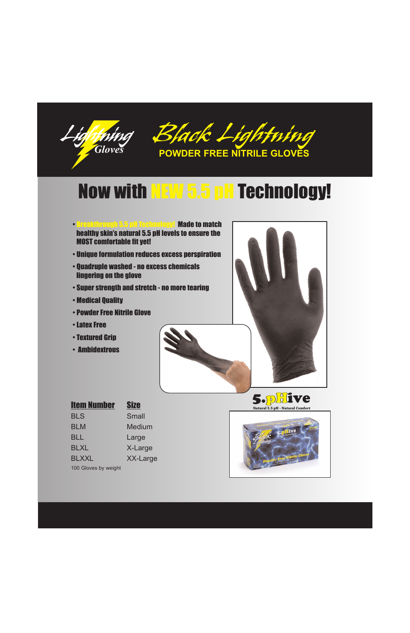



# Now with NEW 5.5 pH Technology!

- Breakthrough 5.5 pH Technology! Made to match healthy skin's natural 5.5 pH levels to ensure the MOST comfortable fit yet!
- Unique formulation reduces excess perspiration
- Quadruple washed no excess chemicals lingering on the glove
- Super strength and stretch no more tearing
- Medical Quality
- Powder Free Nitrile Glove
- Latex Free
- Textured Grip
- Ambidextrous